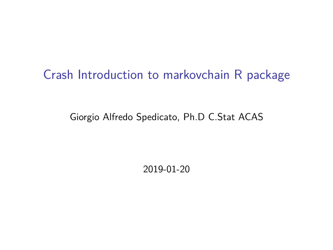# Crash Introduction to markovchain R package

Giorgio Alfredo Spedicato, Ph.D C.Stat ACAS

2019-01-20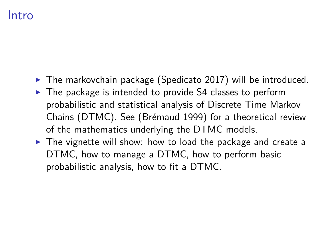### Intro

- $\triangleright$  The markovchain package (Spedicato 2017) will be introduced.
- $\triangleright$  The package is intended to provide S4 classes to perform probabilistic and statistical analysis of Discrete Time Markov Chains (DTMC). See (Brémaud 1999) for a theoretical review of the mathematics underlying the DTMC models.
- ▶ The vignette will show: how to load the package and create a DTMC, how to manage a DTMC, how to perform basic probabilistic analysis, how to fit a DTMC.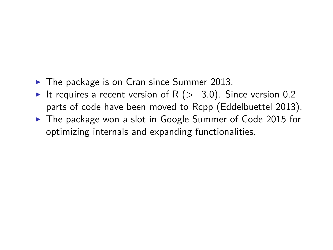- ▶ The package is on Cran since Summer 2013.
- It requires a recent version of R ( $>=$ 3.0). Since version 0.2 parts of code have been moved to Rcpp (Eddelbuettel 2013).
- ▶ The package won a slot in Google Summer of Code 2015 for optimizing internals and expanding functionalities.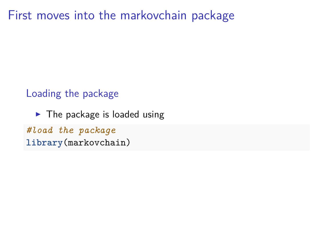First moves into the markovchain package

Loading the package

 $\blacktriangleright$  The package is loaded using

*#load the package* **library**(markovchain)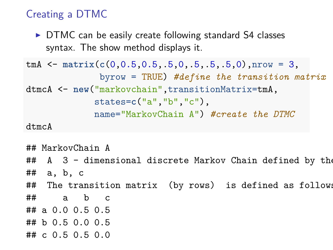#### Creating a DTMC

► DTMC can be easily create following standard S4 classes syntax. The show method displays it.

```
tmA <- matrix(c(0,0.5,0.5,.5,0,.5,.5,.5,0),nrow = 3,
              byrow = TRUE) #define the transition matrix
dtmcA <- new("markovchain",transitionMatrix=tmA,
             states=c("a","b","c"),
             name="MarkovChain A") #create the DTMC
```
dtmcA

```
## MarkovChain A
## A 3 - dimensional discrete Markov Chain defined by the
## a, b, c
## The transition matrix (by rows) is defined as follows:
## a b c
## a 0.0 0.5 0.5
## b 0.5 0.0 0.5
## c 0.5 0.5 0.0
```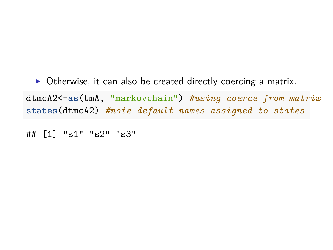▶ Otherwise, it can also be created directly coercing a matrix. dtmcA2<-**as**(tmA, "markovchain") *#using coerce from matrix* **states**(dtmcA2) *#note default names assigned to states*

## [1] "s1" "s2" "s3"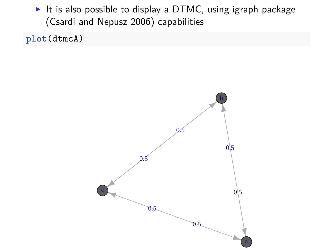$\triangleright$  It is also possible to display a DTMC, using igraph package (Csardi and Nepusz 2006) capabilities

**plot**(dtmcA)

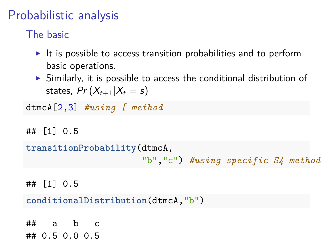# Probabilistic analysis

The basic

- $\triangleright$  It is possible to access transition probabilities and to perform basic operations.
- $\triangleright$  Similarly, it is possible to access the conditional distribution of states,  $Pr(X_{t+1}|X_t = s)$

dtmcA[2,3] *#using [ method*

## [1] 0.5

**transitionProbability**(dtmcA,

```
"b","c") #using specific S4 method
```
## [1] 0.5

**conditionalDistribution**(dtmcA,"b")

 $\#$  a b c ## 0.5 0.0 0.5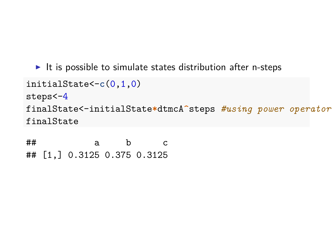$\blacktriangleright$  It is possible to simulate states distribution after n-steps

```
initialState<-c(0,1,0)
steps<-4
finalState<-initialState*dtmcA^steps #using power operator
finalState
```
## a b c ## [1,] 0.3125 0.375 0.3125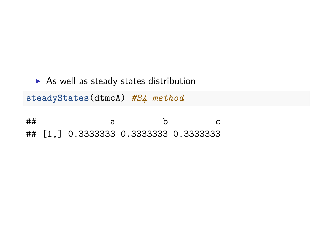$\triangleright$  As well as steady states distribution **steadyStates**(dtmcA) *#S4 method*

## a b c ## [1,] 0.3333333 0.3333333 0.3333333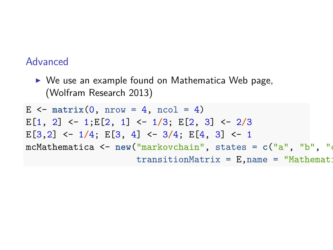#### Advanced

► We use an example found on Mathematica Web page, (Wolfram Research 2013)

 $E \le - \text{ matrix}(0, \text{ nrow} = 4, \text{ ncol} = 4)$ E[1, 2] <- 1;E[2, 1] <- 1**/**3; E[2, 3] <- 2**/**3 E[3,2] <- 1**/**4; E[3, 4] <- 3**/**4; E[4, 3] <- 1 mcMathematica <- **new**("markovchain", states = **c**("a", "b", "c"  $transitionMatrix = E, name = "Mathemat:$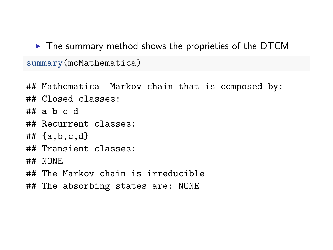$\triangleright$  The summary method shows the proprieties of the DTCM **summary**(mcMathematica)

## Mathematica Markov chain that is composed by: ## Closed classes: ## a b c d ## Recurrent classes: ## {a,b,c,d} ## Transient classes: ## NONE ## The Markov chain is irreducible ## The absorbing states are: NONE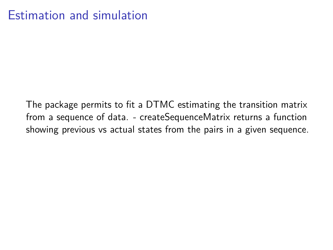# Estimation and simulation

The package permits to fit a DTMC estimating the transition matrix from a sequence of data. - createSequenceMatrix returns a function showing previous vs actual states from the pairs in a given sequence.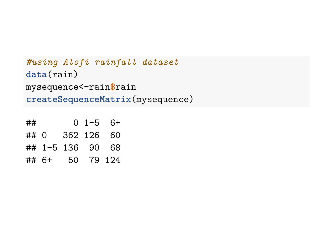```
#using Alofi rainfall dataset
data(rain)
mysequence<-rain$rain
createSequenceMatrix(mysequence)
```

| ##   |                  | $0 \t1-5 \t6+$ |  |
|------|------------------|----------------|--|
| ## 0 |                  | 362 126 60     |  |
|      | ## 1-5 136 90 68 |                |  |
|      | ## 6+ 50 79 124  |                |  |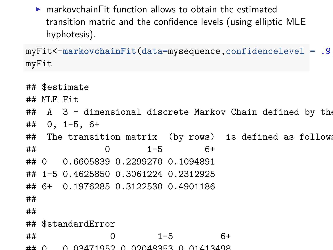$\triangleright$  markovchainFit function allows to obtain the estimated transition matric and the confidence levels (using elliptic MLE hyphotesis).

myFit<-**markovchainFit**(data=mysequence,confidencelevel = .9,method myFit

```
## $estimate
## MLE Fit
## A 3 - dimensional discrete Markov Chain defined by the
## 0, 1-5, 6+
## The transition matrix (by rows) is defined as follows:
## 0 1-5 6+
## 0 0.6605839 0.2299270 0.1094891
## 1-5 0.4625850 0.3061224 0.2312925
## 6+ 0.1976285 0.3122530 0.4901186
##
##
## $standardError
## 0 1-5 6+
## 0 0.03471952 0.02048353 0.01413498
```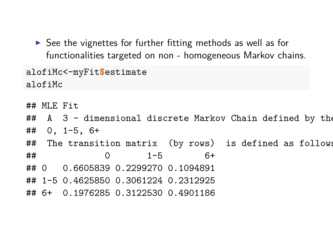$\triangleright$  See the vignettes for further fitting methods as well as for functionalities targeted on non - homogeneous Markov chains.

```
alofiMc<-myFit$estimate
alofiMc
```

```
## MLE Fit
```
## A 3 - dimensional discrete Markov Chain defined by the ## 0, 1-5, 6+

## The transition matrix (by rows) is defined as follows: ## 0 1-5 6+

## 0 0.6605839 0.2299270 0.1094891

- ## 1-5 0.4625850 0.3061224 0.2312925
- ## 6+ 0.1976285 0.3122530 0.4901186